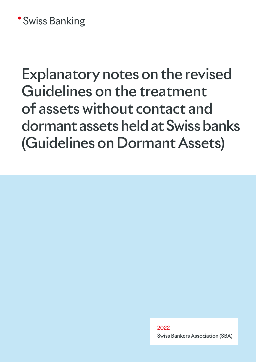## **\*Swiss Banking**

# Explanatory notes on the revised Guidelines on the treatment of assets without contact and dormant assets held at Swiss banks (Guidelines on Dormant Assets)

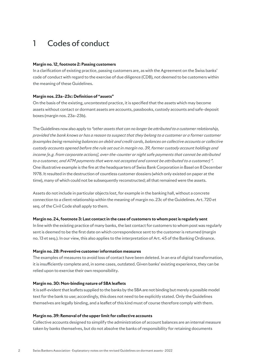## 1 Codes of conduct

#### **Margin no. 12, footnote 2: Passing customers**

In a clarification of existing practice, passing customers are, as with the Agreement on the Swiss banks' code of conduct with regard to the exercise of due diligence (CDB), not deemed to be customers within the meaning of these Guidelines.

#### **Margin nos. 23a–23c: Definition of "assets"**

On the basis of the existing, uncontested practice, it is specified that the assets which may become assets without contact or dormant assets are accounts, passbooks, custody accounts and safe-deposit boxes (margin nos. 23a–23b).

The Guidelines now also apply to *"other assets that can no longer be attributed to a customer relationship, provided the bank knows or has a reason to suspect that they belong to a customer or a former customer (examples being remaining balances on debit and credit cards, balances on collective accounts or collective custody accounts opened before the rule set out in margin no. 39, former custody account holdings and income [e.g. from corporate actions], over-the-counter or night safe payments that cannot be attributed to a customer, and ATM payments that were not accepted and cannot be attributed to a customer) ".*  One illustrative example is the fire at the headquarters of Swiss Bank Corporation in Basel on 8 December 1978. It resulted in the destruction of countless customer dossiers (which only existed on paper at the time), many of which could not be subsequently reconstructed; all that remained were the assets.

Assets do not include in particular objects lost, for example in the banking hall, without a concrete connection to a client relationship within the meaning of margin no. 23c of the Guidelines. Art. 720 et seq. of the Civil Code shall apply to them.

#### **Margin no. 24, footnote 3: Last contact in the case of customers to whom post is regularly sent**

In line with the existing practice of many banks, the last contact for customers to whom post was regularly sent is deemed to be the first date on which correspondence sent to the customer is returned (margin no. 13 et seq.). In our view, this also applies to the interpretation of Art. 45 of the Banking Ordinance.

#### **Margin no. 28: Preventive customer information measures**

The examples of measures to avoid loss of contact have been deleted. In an era of digital transformation, it is insufficiently complete and, in some cases, outdated. Given banks' existing experience, they can be relied upon to exercise their own responsibility.

#### **Margin no. 30: Non-binding nature of SBA leaflets**

It is self-evident that leaflets supplied to the banks by the SBA are not binding but merely a possible model text for the bank to use; accordingly, this does not need to be explicitly stated. Only the Guidelines themselves are legally binding, and a leaflet of this kind must of course therefore comply with them.

#### **Margin no. 39: Removal of the upper limit for collective accounts**

Collective accounts designed to simplify the administration of account balances are an internal measure taken by banks themselves, but do not absolve the banks of responsibility for retaining documents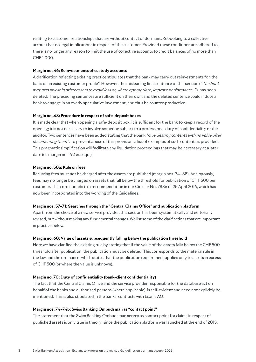relating to customer relationships that are without contact or dormant. Rebooking to a collective account has no legal implications in respect of the customer. Provided these conditions are adhered to, there is no longer any reason to limit the use of collective accounts to credit balances of no more than CHF 1,000.

#### **Margin no. 46: Reinvestments of custody accounts**

A clarification reflecting existing practice stipulates that the bank may carry out reinvestments "on the basis of an existing customer profile". However, the misleading final sentence of this section (*" The bank may also invest in other assets to avoid loss or, where appropriate, improve performance. "*). has been deleted. The preceding sentences are sufficient on their own, and the deleted sentence could induce a bank to engage in an overly speculative investment, and thus be counter-productive.

#### **Margin no. 48: Procedure in respect of safe-deposit boxes**

It is made clear that when opening a safe-deposit box, it is sufficient for the bank to keep a record of the opening; it is not necessary to involve someone subject to a professional duty of confidentiality or the auditor. Two sentences have been added stating that the bank *"may destroy contents with no value after documenting them".* To prevent abuse of this provision, a list of examples of such contents is provided. This pragmatic simplification will facilitate any liquidation proceedings that may be necessary at a later date (cf. margin nos. 92 et seqq.)

#### **Margin no. 50a: Rule on fees**

Recurring fees must not be charged after the assets are published (margin nos. 74–88). Analogously, fees may no longer be charged on assets that fall below the threshold for publication of CHF 500 per customer. This corresponds to a recommendation in our Circular No. 7886 of 25 April 2016, which has now been incorporated into the wording of the Guidelines.

#### **Margin nos. 57–71: Searches through the "Central Claims Office" and publication platform**

Apart from the choice of a new service provider, this section has been systematically and editorially revised, but without making any fundamental changes. We list some of the clarifications that are important in practice below.

#### **Margin no. 60: Value of assets subsequently falling below the publication threshold**

Here we have clarified the existing rule by stating that if the value of the assets falls below the CHF 500 threshold after publication, the publication must be deleted. This corresponds to the material rule in the law and the ordinance, which states that the publication requirement applies only to assets in excess of CHF 500 (or where the value is unknown).

#### **Margin no. 70: Duty of confidentiality (bank-client confidentiality)**

The fact that the Central Claims Office and the service provider responsible for the database act on behalf of the banks and authorised persons (where applicable), is self-evident and need not explicitly be mentioned. This is also stipulated in the banks' contracts with Econis AG.

#### **Margin nos. 74–74b: Swiss Banking Ombudsman as "contact point"**

The statement that the Swiss Banking Ombudsman serves as contact point for claims in respect of published assets is only true in theory: since the publication platform was launched at the end of 2015,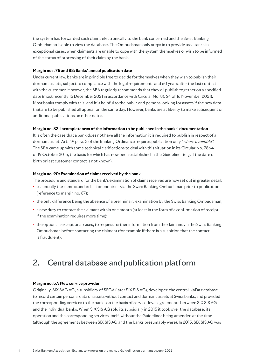the system has forwarded such claims electronically to the bank concerned and the Swiss Banking Ombudsman is able to view the database. The Ombudsman only steps in to provide assistance in exceptional cases, when claimants are unable to cope with the system themselves or wish to be informed of the status of processing of their claim by the bank.

#### **Margin nos. 75 and 88: Banks' annual publication date**

Under current law, banks are in principle free to decide for themselves when they wish to publish their dormant assets, subject to compliance with the legal requirements and 60 years after the last contact with the customer. However, the SBA regularly recommends that they all publish together on a specified date (most recently 15 December 2021 in accordance with Circular No. 8064 of 16 November 2021). Most banks comply with this, and it is helpful to the public and persons looking for assets if the new data that are to be published all appear on the same day. However, banks are at liberty to make subsequent or additional publications on other dates.

#### **Margin no. 82: Incompleteness of the information to be published in the banks' documentation**

It is often the case that a bank does not have all the information it is required to publish in respect of a dormant asset. Art. 49 para. 3 of the Banking Ordinance requires publication only *"where available"*. The SBA came up with some technical clarifications to deal with this situation in its Circular No. 7864 of 19 October 2015, the basis for which has now been established in the Guidelines (e.g. if the date of birth or last customer contact is not known).

#### **Margin no. 90: Examination of claims received by the bank**

The procedure and standard for the bank's examination of claims received are now set out in greater detail:

- · essentially the same standard as for enquiries via the Swiss Banking Ombudsman prior to publication (reference to margin no. 67);
- · the only difference being the absence of a preliminary examination by the Swiss Banking Ombudsman;
- · a new duty to contact the claimant within one month (at least in the form of a confirmation of receipt, if the examination requires more time);
- · the option, in exceptional cases, to request further information from the claimant via the Swiss Banking Ombudsman before contacting the claimant (for example if there is a suspicion that the contact is fraudulent).

### 2. Central database and publication platform

#### **Margin no. 57: New service provider**

Originally, SIX SAG AG, a subsidiary of SEGA (later SIX SIS AG), developed the central NaDa database to record certain personal data on assets without contact and dormant assets at Swiss banks, and provided the corresponding services to the banks on the basis of service-level agreements between SIX SIS AG and the individual banks. When SIX SIS AG sold its subsidiary in 2015 it took over the database, its operation and the corresponding services itself, without the Guidelines being amended at the time (although the agreements between SIX SIS AG and the banks presumably were). In 2015, SIX SIS AG was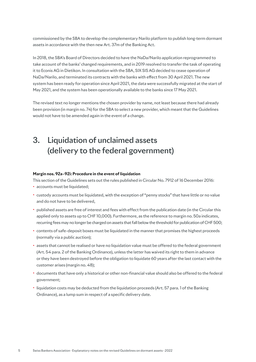commissioned by the SBA to develop the complementary Narilo platform to publish long-term dormant assets in accordance with the then new Art. 37m of the Banking Act.

In 2018, the SBA's Board of Directors decided to have the NaDa/Narilo application reprogrammed to take account of the banks' changed requirements, and in 2019 resolved to transfer the task of operating it to Econis AG in Dietikon. In consultation with the SBA, SIX SIS AG decided to cease operation of NaDa/Narilo, and terminated its contracts with the banks with effect from 30 April 2021. The new system has been ready for operation since April 2021, the data were successfully migrated at the start of May 2021, and the system has been operationally available to the banks since 17 May 2021.

The revised text no longer mentions the chosen provider by name, not least because there had already been provision (in margin no. 74) for the SBA to select a new provider, which meant that the Guidelines would not have to be amended again in the event of a change.

## 3. Liquidation of unclaimed assets (delivery to the federal government)

#### **Margin nos. 92a–92i: Procedure in the event of liquidation**

This section of the Guidelines sets out the rules published in Circular No. 7912 of 16 December 2016:

- · accounts must be liquidated;
- · custody accounts must be liquidated, with the exception of "penny stocks" that have little or no value and do not have to be delivered,
- · published assets are free of interest and fees with effect from the publication date (in the Circular this applied only to assets up to CHF 10,000). Furthermore, as the reference to margin no. 50a indicates, recurring fees may no longer be charged on assets that fall below the threshold for publication of CHF 500;
- · contents of safe-deposit boxes must be liquidated in the manner that promises the highest proceeds (normally via a public auction);
- · assets that cannot be realised or have no liquidation value must be offered to the federal government (Art. 54 para. 2 of the Banking Ordinance), unless the latter has waived its right to them in advance or they have been destroyed before the obligation to liquidate 60 years after the last contact with the customer arises (margin no. 48);
- · documents that have only a historical or other non-financial value should also be offered to the federal government;
- · liquidation costs may be deducted from the liquidation proceeds (Art. 57 para. 1 of the Banking Ordinance), as a lump sum in respect of a specific delivery date.